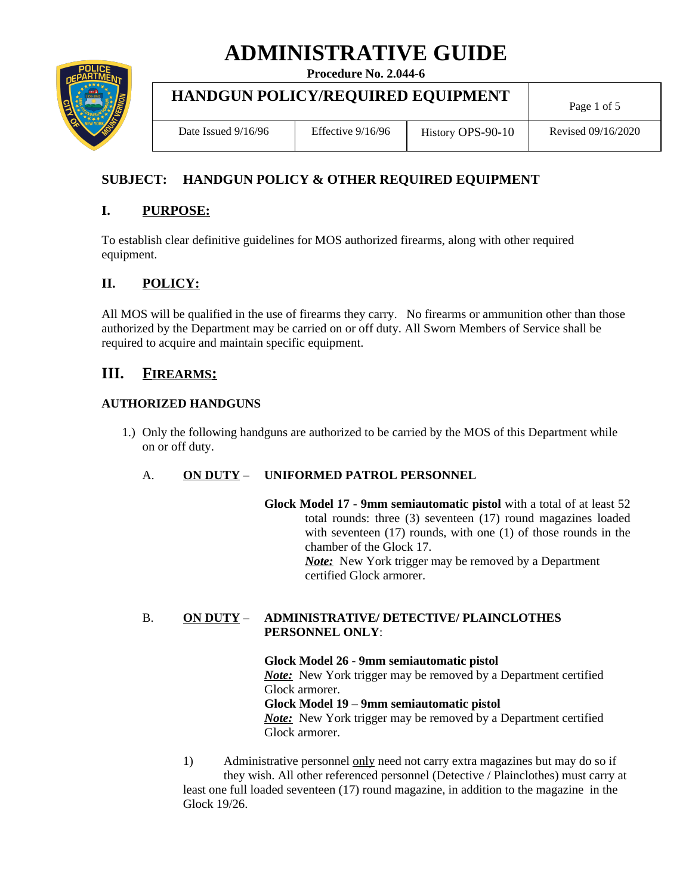# **ADMINISTRATIVE GUIDE**

**Procedure No. 2.044-6**



## **HANDGUN POLICY/REQUIRED EQUIPMENT**

Date Issued 9/16/96 | Effective 9/16/96 | History OPS-90-10 | Revised 09/16/2020

Page 1 of 5

## **SUBJECT: HANDGUN POLICY & OTHER REQUIRED EQUIPMENT**

## **I. PURPOSE:**

To establish clear definitive guidelines for MOS authorized firearms, along with other required equipment.

## **II. POLICY:**

All MOS will be qualified in the use of firearms they carry. No firearms or ammunition other than those authorized by the Department may be carried on or off duty. All Sworn Members of Service shall be required to acquire and maintain specific equipment.

## **III. FIREARMS:**

#### **AUTHORIZED HANDGUNS**

1.) Only the following handguns are authorized to be carried by the MOS of this Department while on or off duty.

### A. **ON DUTY** – **UNIFORMED PATROL PERSONNEL**

**Glock Model 17 - 9mm semiautomatic pistol** with a total of at least 52 total rounds: three (3) seventeen (17) round magazines loaded with seventeen (17) rounds, with one (1) of those rounds in the chamber of the Glock 17. *Note:* New York trigger may be removed by a Department certified Glock armorer.

#### B. **ON DUTY** – **ADMINISTRATIVE/ DETECTIVE/ PLAINCLOTHES PERSONNEL ONLY**:

**Glock Model 26 - 9mm semiautomatic pistol** *Note:* New York trigger may be removed by a Department certified Glock armorer. **Glock Model 19 – 9mm semiautomatic pistol** *Note:* New York trigger may be removed by a Department certified Glock armorer.

1) Administrative personnel only need not carry extra magazines but may do so if they wish. All other referenced personnel (Detective / Plainclothes) must carry at least one full loaded seventeen (17) round magazine, in addition to the magazine in the Glock 19/26.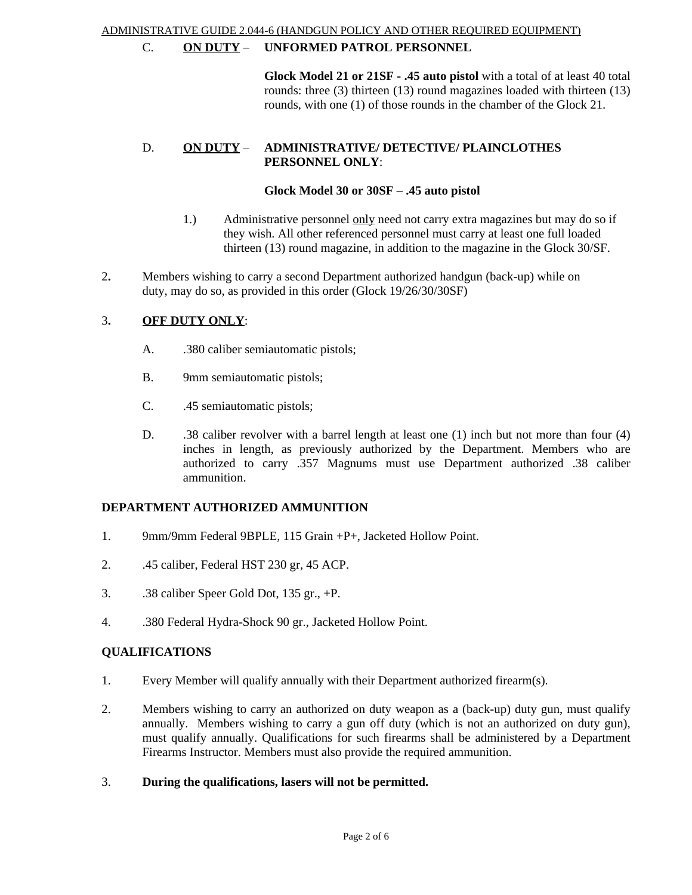#### ADMINISTRATIVE GUIDE 2.044-6 (HANDGUN POLICY AND OTHER REQUIRED EQUIPMENT)

#### C. **ON DUTY** – **UNFORMED PATROL PERSONNEL**

**Glock Model 21 or 21SF - .45 auto pistol** with a total of at least 40 total rounds: three (3) thirteen (13) round magazines loaded with thirteen (13) rounds, with one (1) of those rounds in the chamber of the Glock 21.

#### D. **ON DUTY** – **ADMINISTRATIVE/ DETECTIVE/ PLAINCLOTHES PERSONNEL ONLY**:

#### **Glock Model 30 or 30SF – .45 auto pistol**

- 1.) Administrative personnel only need not carry extra magazines but may do so if they wish. All other referenced personnel must carry at least one full loaded thirteen (13) round magazine, in addition to the magazine in the Glock 30/SF.
- 2**.** Members wishing to carry a second Department authorized handgun (back-up) while on duty, may do so, as provided in this order (Glock 19/26/30/30SF)

#### 3**. OFF DUTY ONLY**:

- A. .380 caliber semiautomatic pistols;
- B. 9mm semiautomatic pistols;
- C. .45 semiautomatic pistols;
- D. .38 caliber revolver with a barrel length at least one (1) inch but not more than four (4) inches in length, as previously authorized by the Department. Members who are authorized to carry .357 Magnums must use Department authorized .38 caliber ammunition.

#### **DEPARTMENT AUTHORIZED AMMUNITION**

- 1. 9mm/9mm Federal 9BPLE, 115 Grain +P+, Jacketed Hollow Point.
- 2. .45 caliber, Federal HST 230 gr, 45 ACP.
- 3. .38 caliber Speer Gold Dot, 135 gr., +P.
- 4. .380 Federal Hydra-Shock 90 gr., Jacketed Hollow Point.

#### **QUALIFICATIONS**

- 1. Every Member will qualify annually with their Department authorized firearm(s).
- 2. Members wishing to carry an authorized on duty weapon as a (back-up) duty gun, must qualify annually. Members wishing to carry a gun off duty (which is not an authorized on duty gun), must qualify annually. Qualifications for such firearms shall be administered by a Department Firearms Instructor. Members must also provide the required ammunition.
- 3. **During the qualifications, lasers will not be permitted.**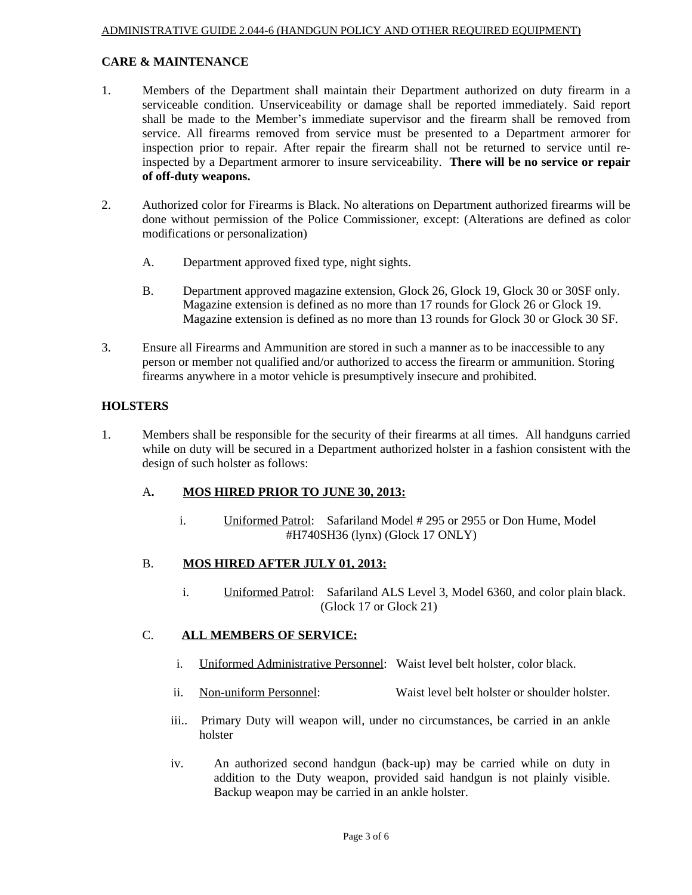#### **CARE & MAINTENANCE**

- 1. Members of the Department shall maintain their Department authorized on duty firearm in a serviceable condition. Unserviceability or damage shall be reported immediately. Said report shall be made to the Member's immediate supervisor and the firearm shall be removed from service. All firearms removed from service must be presented to a Department armorer for inspection prior to repair. After repair the firearm shall not be returned to service until reinspected by a Department armorer to insure serviceability. **There will be no service or repair of off-duty weapons.**
- 2. Authorized color for Firearms is Black. No alterations on Department authorized firearms will be done without permission of the Police Commissioner, except: (Alterations are defined as color modifications or personalization)
	- A. Department approved fixed type, night sights.
	- B. Department approved magazine extension, Glock 26, Glock 19, Glock 30 or 30SF only. Magazine extension is defined as no more than 17 rounds for Glock 26 or Glock 19. Magazine extension is defined as no more than 13 rounds for Glock 30 or Glock 30 SF.
- 3. Ensure all Firearms and Ammunition are stored in such a manner as to be inaccessible to any person or member not qualified and/or authorized to access the firearm or ammunition. Storing firearms anywhere in a motor vehicle is presumptively insecure and prohibited.

#### **HOLSTERS**

1. Members shall be responsible for the security of their firearms at all times. All handguns carried while on duty will be secured in a Department authorized holster in a fashion consistent with the design of such holster as follows:

#### A**. MOS HIRED PRIOR TO JUNE 30, 2013:**

 i. Uniformed Patrol:Safariland Model # 295 or 2955 or Don Hume, Model #H740SH36 (lynx) (Glock 17 ONLY)

#### B. **MOS HIRED AFTER JULY 01, 2013:**

 i. Uniformed Patrol: Safariland ALS Level 3, Model 6360, and color plain black. (Glock 17 or Glock 21)

#### C. **ALL MEMBERS OF SERVICE:**

- i. Uniformed Administrative Personnel: Waist level belt holster, color black.
- ii. Non-uniform Personnel: Waist level belt holster or shoulder holster.
- iii.. Primary Duty will weapon will, under no circumstances, be carried in an ankle holster
- iv. An authorized second handgun (back-up) may be carried while on duty in addition to the Duty weapon, provided said handgun is not plainly visible. Backup weapon may be carried in an ankle holster.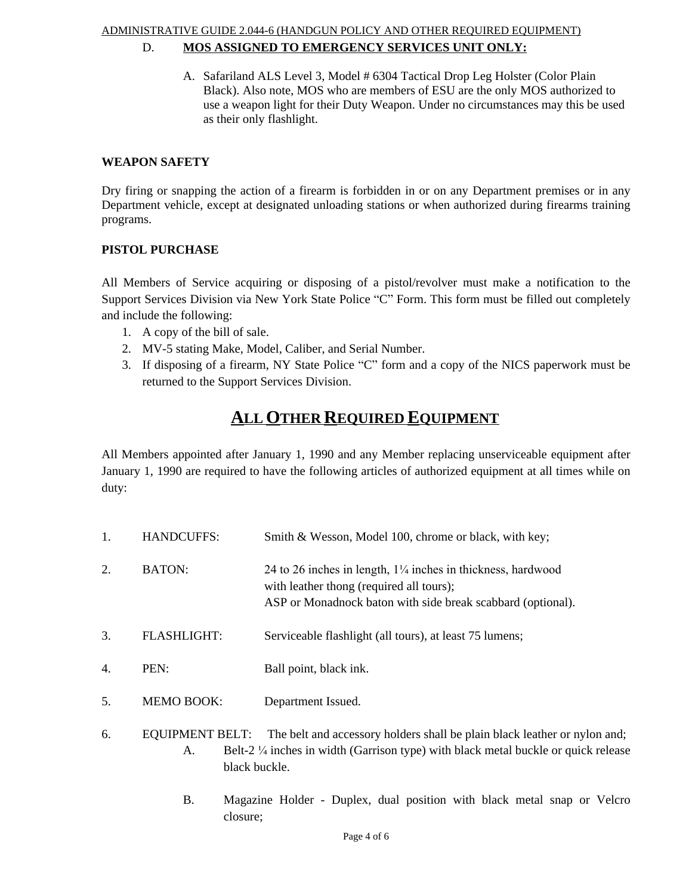## ADMINISTRATIVE GUIDE 2.044-6 (HANDGUN POLICY AND OTHER REQUIRED EQUIPMENT)

# D. **MOS ASSIGNED TO EMERGENCY SERVICES UNIT ONLY:**

A. Safariland ALS Level 3, Model # 6304 Tactical Drop Leg Holster (Color Plain Black). Also note, MOS who are members of ESU are the only MOS authorized to use a weapon light for their Duty Weapon. Under no circumstances may this be used as their only flashlight.

#### **WEAPON SAFETY**

Dry firing or snapping the action of a firearm is forbidden in or on any Department premises or in any Department vehicle, except at designated unloading stations or when authorized during firearms training programs.

#### **PISTOL PURCHASE**

All Members of Service acquiring or disposing of a pistol/revolver must make a notification to the Support Services Division via New York State Police "C" Form. This form must be filled out completely and include the following:

- 1. A copy of the bill of sale.
- 2. MV-5 stating Make, Model, Caliber, and Serial Number.
- 3. If disposing of a firearm, NY State Police "C" form and a copy of the NICS paperwork must be returned to the Support Services Division.

## **ALL OTHER REQUIRED EQUIPMENT**

All Members appointed after January 1, 1990 and any Member replacing unserviceable equipment after January 1, 1990 are required to have the following articles of authorized equipment at all times while on duty:

| 1. | <b>HANDCUFFS:</b>  | Smith & Wesson, Model 100, chrome or black, with key;                                                                                                                              |
|----|--------------------|------------------------------------------------------------------------------------------------------------------------------------------------------------------------------------|
| 2. | BATON:             | 24 to 26 inches in length, $1\frac{1}{4}$ inches in thickness, hardwood<br>with leather thong (required all tours);<br>ASP or Monadnock baton with side break scabbard (optional). |
| 3. | <b>FLASHLIGHT:</b> | Serviceable flashlight (all tours), at least 75 lumens;                                                                                                                            |
| 4. | PEN:               | Ball point, black ink.                                                                                                                                                             |
| 5. | <b>MEMO BOOK:</b>  | Department Issued.                                                                                                                                                                 |
|    |                    |                                                                                                                                                                                    |

- 6. EQUIPMENT BELT: The belt and accessory holders shall be plain black leather or nylon and; A. Belt-2 ¼ inches in width (Garrison type) with black metal buckle or quick release black buckle.
	- B. Magazine Holder Duplex, dual position with black metal snap or Velcro closure;